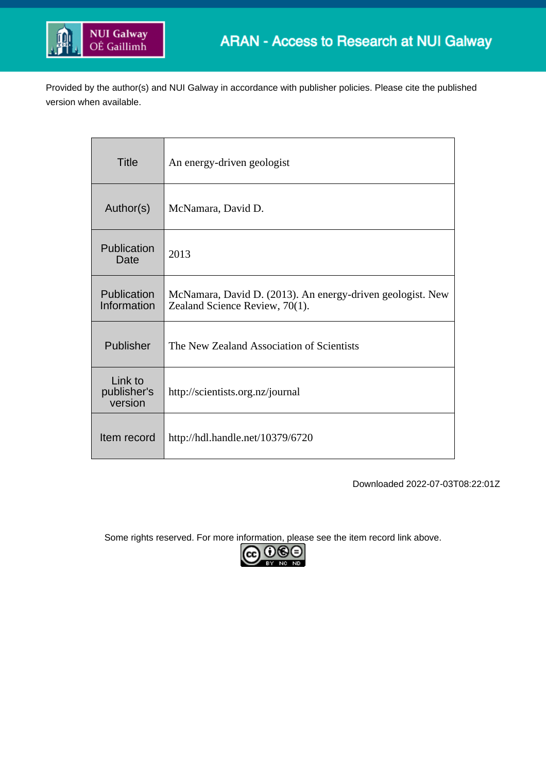

Provided by the author(s) and NUI Galway in accordance with publisher policies. Please cite the published version when available.

| <b>Title</b>                      | An energy-driven geologist                                                                   |
|-----------------------------------|----------------------------------------------------------------------------------------------|
| Author(s)                         | McNamara, David D.                                                                           |
| Publication<br>Date               | 2013                                                                                         |
| Publication<br>Information        | McNamara, David D. (2013). An energy-driven geologist. New<br>Zealand Science Review, 70(1). |
| Publisher                         | The New Zealand Association of Scientists                                                    |
| Link to<br>publisher's<br>version | http://scientists.org.nz/journal                                                             |
| Item record                       | http://hdl.handle.net/10379/6720                                                             |

Downloaded 2022-07-03T08:22:01Z

Some rights reserved. For more information, please see the item record link above.

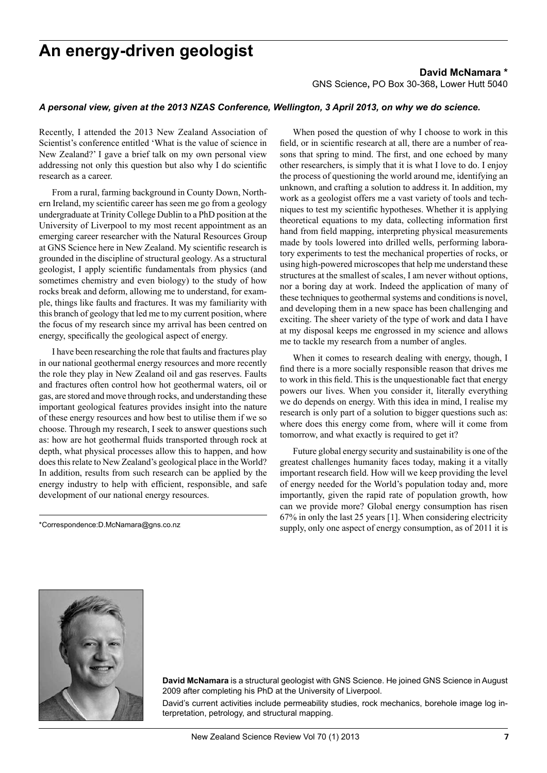## **An energy-driven geologist**

## **David McNamara \***

GNS Science**,** PO Box 30-368**,** Lower Hutt 5040

## *A personal view, given at the 2013 NZAS Conference, Wellington, 3 April 2013, on why we do science.*

Recently, I attended the 2013 New Zealand Association of Scientist's conference entitled 'What is the value of science in New Zealand?' I gave a brief talk on my own personal view addressing not only this question but also why I do scientific research as a career.

From a rural, farming background in County Down, Northern Ireland, my scientific career has seen me go from a geology undergraduate at Trinity College Dublin to a PhD position at the University of Liverpool to my most recent appointment as an emerging career researcher with the Natural Resources Group at GNS Science here in New Zealand. My scientific research is grounded in the discipline of structural geology. As a structural geologist, I apply scientific fundamentals from physics (and sometimes chemistry and even biology) to the study of how rocks break and deform, allowing me to understand, for example, things like faults and fractures. It was my familiarity with this branch of geology that led me to my current position, where the focus of my research since my arrival has been centred on energy, specifically the geological aspect of energy.

I have been researching the role that faults and fractures play in our national geothermal energy resources and more recently the role they play in New Zealand oil and gas reserves. Faults and fractures often control how hot geothermal waters, oil or gas, are stored and move through rocks, and understanding these important geological features provides insight into the nature of these energy resources and how best to utilise them if we so choose. Through my research, I seek to answer questions such as: how are hot geothermal fluids transported through rock at depth, what physical processes allow this to happen, and how does this relate to New Zealand's geological place in the World? In addition, results from such research can be applied by the energy industry to help with efficient, responsible, and safe development of our national energy resources.

\*Correspondence:D.McNamara@gns.co.nz

When posed the question of why I choose to work in this field, or in scientific research at all, there are a number of reasons that spring to mind. The first, and one echoed by many other researchers, is simply that it is what I love to do. I enjoy the process of questioning the world around me, identifying an unknown, and crafting a solution to address it. In addition, my work as a geologist offers me a vast variety of tools and techniques to test my scientific hypotheses. Whether it is applying theoretical equations to my data, collecting information first hand from field mapping, interpreting physical measurements made by tools lowered into drilled wells, performing laboratory experiments to test the mechanical properties of rocks, or using high-powered microscopes that help me understand these structures at the smallest of scales, I am never without options, nor a boring day at work. Indeed the application of many of these techniques to geothermal systems and conditions is novel, and developing them in a new space has been challenging and exciting. The sheer variety of the type of work and data I have at my disposal keeps me engrossed in my science and allows me to tackle my research from a number of angles.

When it comes to research dealing with energy, though, I find there is a more socially responsible reason that drives me to work in this field. This is the unquestionable fact that energy powers our lives. When you consider it, literally everything we do depends on energy. With this idea in mind, I realise my research is only part of a solution to bigger questions such as: where does this energy come from, where will it come from tomorrow, and what exactly is required to get it?

Future global energy security and sustainability is one of the greatest challenges humanity faces today, making it a vitally important research field. How will we keep providing the level of energy needed for the World's population today and, more importantly, given the rapid rate of population growth, how can we provide more? Global energy consumption has risen 67% in only the last 25 years [1]. When considering electricity supply, only one aspect of energy consumption, as of 2011 it is



**David McNamara** is a structural geologist with GNS Science. He joined GNS Science in August 2009 after completing his PhD at the University of Liverpool.

David's current activities include permeability studies, rock mechanics, borehole image log interpretation, petrology, and structural mapping.